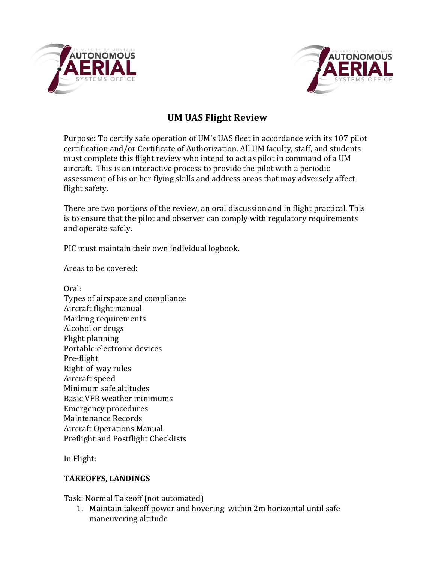



# **UM UAS Flight Review**

Purpose: To certify safe operation of UM's UAS fleet in accordance with its 107 pilot certification and/or Certificate of Authorization. All UM faculty, staff, and students must complete this flight review who intend to act as pilot in command of a UM aircraft. This is an interactive process to provide the pilot with a periodic assessment of his or her flying skills and address areas that may adversely affect flight safety.

There are two portions of the review, an oral discussion and in flight practical. This is to ensure that the pilot and observer can comply with regulatory requirements and operate safely.

PIC must maintain their own individual logbook.

Areas to be covered:

Oral: Types of airspace and compliance Aircraft flight manual Marking requirements Alcohol or drugs Flight planning Portable electronic devices Pre-flight Right-of-way rules Aircraft speed Minimum safe altitudes Basic VFR weather minimums Emergency procedures Maintenance Records **Aircraft Operations Manual** Preflight and Postflight Checklists

In Flight:

## **TAKEOFFS, LANDINGS**

Task: Normal Takeoff (not automated)

1. Maintain takeoff power and hovering within 2m horizontal until safe maneuvering altitude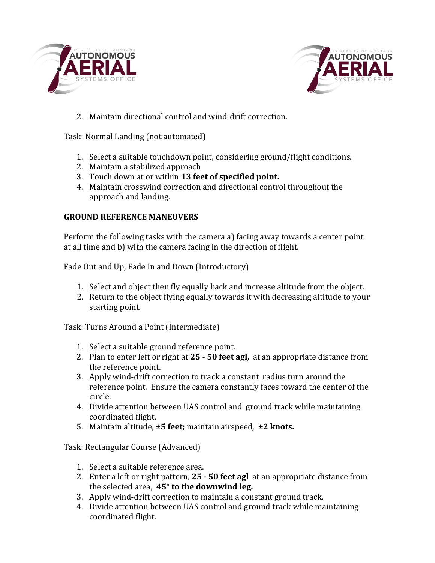



2. Maintain directional control and wind-drift correction.

Task: Normal Landing (not automated)

- 1. Select a suitable touchdown point, considering ground/flight conditions.
- 2. Maintain a stabilized approach
- 3. Touch down at or within **13 feet of specified point.**
- 4. Maintain crosswind correction and directional control throughout the approach and landing.

## **GROUND REFERENCE MANEUVERS**

Perform the following tasks with the camera a) facing away towards a center point at all time and b) with the camera facing in the direction of flight.

Fade Out and Up, Fade In and Down (Introductory)

- 1. Select and object then fly equally back and increase altitude from the object.
- 2. Return to the object flying equally towards it with decreasing altitude to your starting point.

Task: Turns Around a Point (Intermediate)

- 1. Select a suitable ground reference point.
- 2. Plan to enter left or right at 25 50 feet agl, at an appropriate distance from the reference point.
- 3. Apply wind-drift correction to track a constant radius turn around the reference point. Ensure the camera constantly faces toward the center of the circle.
- 4. Divide attention between UAS control and ground track while maintaining coordinated flight.
- 5. Maintain altitude, **±5 feet**; maintain airspeed, **±2 knots.**

Task: Rectangular Course (Advanced)

- 1. Select a suitable reference area.
- 2. Enter a left or right pattern, 25 50 feet agl at an appropriate distance from the selected area, 45° to the downwind leg.
- 3. Apply wind-drift correction to maintain a constant ground track.
- 4. Divide attention between UAS control and ground track while maintaining coordinated flight.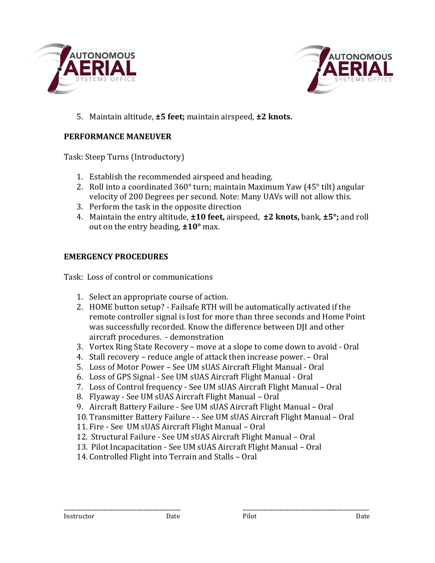



5. Maintain altitude, **±5 feet**; maintain airspeed, **±2 knots.** 

#### **PERFORMANCE MANEUVER**

Task: Steep Turns (Introductory)

- 1. Establish the recommended airspeed and heading.
- 2. Roll into a coordinated  $360^{\circ}$  turn; maintain Maximum Yaw (45 $^{\circ}$  tilt) angular velocity of 200 Degrees per second. Note: Many UAVs will not allow this.
- 3. Perform the task in the opposite direction
- 4. Maintain the entry altitude,  $\pm 10$  feet, airspeed,  $\pm 2$  knots, bank,  $\pm 5^{\circ}$ ; and roll out on the entry heading,  $\pm 10^{\circ}$  max.

#### **EMERGENCY PROCEDURES**

Task: Loss of control or communications

- 1. Select an appropriate course of action.
- 2. HOME button setup? Failsafe RTH will be automatically activated if the remote controller signal is lost for more than three seconds and Home Point was successfully recorded. Know the difference between DII and other aircraft procedures. - demonstration
- 3. Vortex Ring State Recovery move at a slope to come down to avoid Oral
- 4. Stall recovery reduce angle of attack then increase power. Oral
- 5. Loss of Motor Power See UM sUAS Aircraft Flight Manual Oral
- 6. Loss of GPS Signal See UM sUAS Aircraft Flight Manual Oral
- 7. Loss of Control frequency See UM sUAS Aircraft Flight Manual Oral
- 8. Flyaway See UM sUAS Aircraft Flight Manual Oral
- 9. Aircraft Battery Failure See UM sUAS Aircraft Flight Manual Oral
- 10. Transmitter Battery Failure - See UM sUAS Aircraft Flight Manual Oral

\_\_\_\_\_\_\_\_\_\_\_\_\_\_\_\_\_\_\_\_\_\_\_\_\_\_\_\_\_\_\_\_\_\_\_\_\_ \_\_\_\_\_\_\_\_\_\_\_\_\_\_\_\_\_\_\_\_\_\_\_\_\_\_\_\_\_\_\_\_\_\_\_\_\_\_\_\_

- 11. Fire See UM sUAS Aircraft Flight Manual Oral
- 12. Structural Failure See UM sUAS Aircraft Flight Manual Oral
- 13. Pilot Incapacitation See UM sUAS Aircraft Flight Manual Oral
- 14. Controlled Flight into Terrain and Stalls Oral